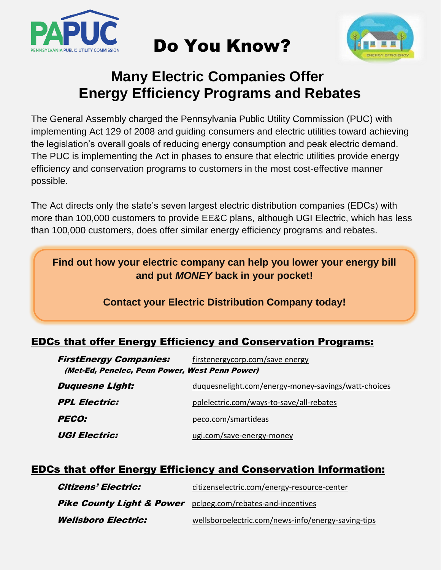

# Do You Know?



## **Many Electric Companies Offer Energy Efficiency Programs and Rebates**

The General Assembly charged the Pennsylvania Public Utility Commission (PUC) with implementing Act 129 of 2008 and guiding consumers and electric utilities toward achieving the legislation's overall goals of reducing energy consumption and peak electric demand. The PUC is implementing the Act in phases to ensure that electric utilities provide energy efficiency and conservation programs to customers in the most cost-effective manner possible.

The Act directs only the state's seven largest electric distribution companies (EDCs) with more than 100,000 customers to provide EE&C plans, although UGI Electric, which has less than 100,000 customers, does offer similar energy efficiency programs and rebates.

**Find out how your electric company can help you lower your energy bill and put** *MONEY* **back in your pocket!**

#### **Contact your Electric Distribution Company today!**

### EDCs that offer Energy Efficiency and Conservation Programs:

| <b>FirstEnergy Companies:</b>                  | firstenergycorp.com/save energy                     |  |  |  |  |  |  |  |  |
|------------------------------------------------|-----------------------------------------------------|--|--|--|--|--|--|--|--|
| (Met-Ed, Penelec, Penn Power, West Penn Power) |                                                     |  |  |  |  |  |  |  |  |
| <b>Duquesne Light:</b>                         | duquesnelight.com/energy-money-savings/watt-choices |  |  |  |  |  |  |  |  |
| <b>PPL Electric:</b>                           | pplelectric.com/ways-to-save/all-rebates            |  |  |  |  |  |  |  |  |
| <b>PECO:</b>                                   | peco.com/smartideas                                 |  |  |  |  |  |  |  |  |
| <b>UGI Electric:</b>                           | ugi.com/save-energy-money                           |  |  |  |  |  |  |  |  |

#### EDCs that offer Energy Efficiency and Conservation Information:

| <b>Citizens' Electric:</b>                                             | citizenselectric.com/energy-resource-center        |
|------------------------------------------------------------------------|----------------------------------------------------|
| <b>Pike County Light &amp; Power</b> pclpeg.com/rebates-and-incentives |                                                    |
| <b>Wellsboro Electric:</b>                                             | wellsboroelectric.com/news-info/energy-saving-tips |